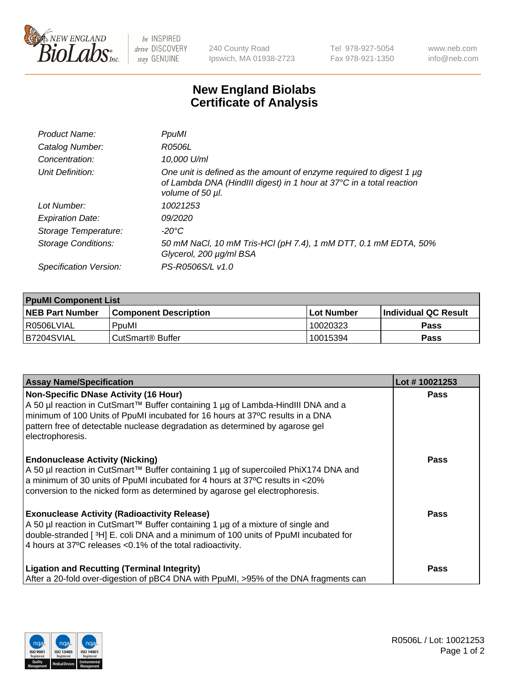

 $be$  INSPIRED drive DISCOVERY stay GENUINE

240 County Road Ipswich, MA 01938-2723 Tel 978-927-5054 Fax 978-921-1350 www.neb.com info@neb.com

## **New England Biolabs Certificate of Analysis**

| Product Name:              | PpuMI                                                                                                                                                           |
|----------------------------|-----------------------------------------------------------------------------------------------------------------------------------------------------------------|
| Catalog Number:            | R0506L                                                                                                                                                          |
| Concentration:             | 10,000 U/ml                                                                                                                                                     |
| Unit Definition:           | One unit is defined as the amount of enzyme required to digest 1 µg<br>of Lambda DNA (HindIII digest) in 1 hour at 37°C in a total reaction<br>volume of 50 µl. |
| Lot Number:                | 10021253                                                                                                                                                        |
| <b>Expiration Date:</b>    | <i>09/2020</i>                                                                                                                                                  |
| Storage Temperature:       | -20°C                                                                                                                                                           |
| <b>Storage Conditions:</b> | 50 mM NaCl, 10 mM Tris-HCl (pH 7.4), 1 mM DTT, 0.1 mM EDTA, 50%<br>Glycerol, 200 µg/ml BSA                                                                      |
| Specification Version:     | PS-R0506S/L v1.0                                                                                                                                                |

| <b>PpuMI Component List</b> |                              |            |                             |  |  |
|-----------------------------|------------------------------|------------|-----------------------------|--|--|
| <b>NEB Part Number</b>      | <b>Component Description</b> | Lot Number | <b>Individual QC Result</b> |  |  |
| l R0506LVIAL                | PpuMI                        | 10020323   | <b>Pass</b>                 |  |  |
| IB7204SVIAL                 | CutSmart® Buffer             | 10015394   | <b>Pass</b>                 |  |  |

| <b>Assay Name/Specification</b>                                                                                                                                                                                                                                                                                | Lot #10021253 |
|----------------------------------------------------------------------------------------------------------------------------------------------------------------------------------------------------------------------------------------------------------------------------------------------------------------|---------------|
| Non-Specific DNase Activity (16 Hour)<br>A 50 µl reaction in CutSmart™ Buffer containing 1 µg of Lambda-HindIII DNA and a<br>minimum of 100 Units of PpuMI incubated for 16 hours at 37°C results in a DNA<br>pattern free of detectable nuclease degradation as determined by agarose gel<br>electrophoresis. | <b>Pass</b>   |
| <b>Endonuclease Activity (Nicking)</b><br>A 50 µl reaction in CutSmart™ Buffer containing 1 µg of supercoiled PhiX174 DNA and<br>a minimum of 30 units of PpuMI incubated for 4 hours at 37°C results in <20%<br>conversion to the nicked form as determined by agarose gel electrophoresis.                   | Pass          |
| <b>Exonuclease Activity (Radioactivity Release)</b><br>  A 50 µl reaction in CutSmart™ Buffer containing 1 µg of a mixture of single and<br>double-stranded [3H] E. coli DNA and a minimum of 100 units of PpuMI incubated for<br>4 hours at 37°C releases < 0.1% of the total radioactivity.                  | <b>Pass</b>   |
| <b>Ligation and Recutting (Terminal Integrity)</b><br>After a 20-fold over-digestion of pBC4 DNA with PpuMI, >95% of the DNA fragments can                                                                                                                                                                     | Pass          |